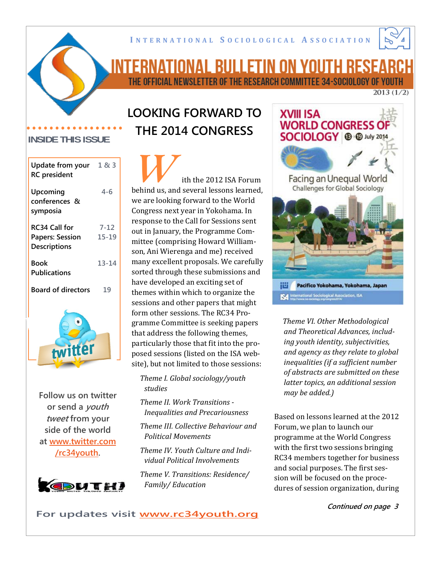

# <u>INTERNATIONAL BULLETIN ON YOUTH RESEAR</u> THE OFFICIAL NEWSLETTER OF THE RESEARCH COMMITTEE 34-SOCIOLOGY OF YOUTH

 $2013(1/2)$ 

# **LOOKING FORWARD TO THE 2014 CONGRESS**

ith the 2012 ISA Forum behind us, and several lessons learned, we are looking forward to the World Congress next year in Yokohama. In response to the Call for Sessions sent out in January, the Programme Com‐ mittee (comprising Howard William‐ son, Ani Wierenga and me) received many excellent proposals. We carefully sorted through these submissions and have developed an exciting set of themes within which to organize the sessions and other papers that might form other sessions. The RC34 Pro‐ gramme Committee is seeking papers that address the following themes, particularly those that fit into the pro‐ posed sessions (listed on the ISA web‐ site), but not limited to those sessions:

*Theme I. Global sociology/youth studies*

*Theme II. Work Transitions Inequalities and Precariousness*

*Theme III. Collective Behaviour and Political Movements*

*Theme IV. Youth Culture and Individual Political Involvements*

*Theme V. Transitions: Residence/ Family/ Education*



*Theme VI. Other Methodological and Theoretical Advances, including youth identity, subjectivities, and agency as they relate to global inequalities (if a sufficient number of abstracts are submitted on these latter topics, an additional session may be added.)*

Based on lessons learned at the 2012 Forum, we plan to launch our programme at the World Congress with the first two sessions bringing RC34 members together for business and social purposes. The first ses‐ sion will be focused on the proce‐ dures of session organization, during

### **Continued on page 3**

### **INSIDE THIS ISSUE**

| Update from your $1 & 83$<br><b>RC</b> president |           |
|--------------------------------------------------|-----------|
| Upcoming<br>conferences &<br>symposia            | 4-6       |
| RC34 Call for                                    | $7 - 12$  |
| <b>Papers: Session</b><br><b>Descriptions</b>    | $15 - 19$ |
| Book<br><b>Publications</b>                      | 13-14     |
| <b>Board of directors</b>                        | 19        |
|                                                  |           |

**Follow us on twitter or send a youth tweet from your side of the world at www.twitter.com /rc34youth.**



### **For updates visit www.rc34youth.org**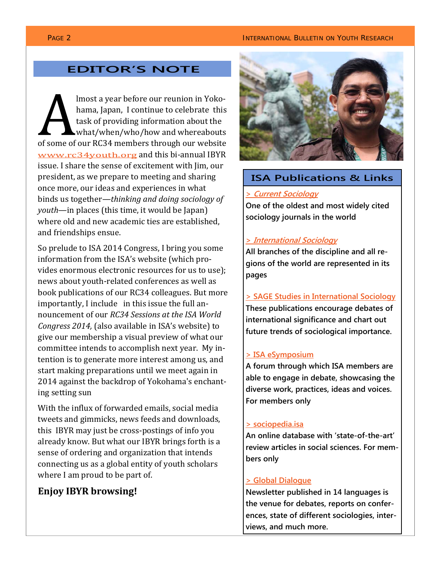### **PAGE 2 INTERNATIONAL BULLETIN ON YOUTH RESEARCH**

### **EDITOR'S NOTE**

lmost a year before our reunion in Yoko‐ hama, Japan, I continue to celebrate this task of providing information about the what/when/who/how and whereabouts of some of our RC34 members through our website www.rc34youth.org and this bi-annual IBYR issue. I share the sense of excitement with Jim, our president, as we prepare to meeting and sharing once more, our ideas and experiences in what binds us together—*thinking and doing sociology of youth*—in places (this time, it would be Japan) where old and new academic ties are established, and friendships ensue.

So prelude to ISA 2014 Congress, I bring you some information from the ISA's website (which pro‐ vides enormous electronic resources for us to use); news about youth‐related conferences as well as book publications of our RC34 colleagues. But more importantly, I include in this issue the full announcement of our *RC34 Sessions at the ISA World Congress 2014,* (also available in ISA's website) to give our membership a visual preview of what our committee intends to accomplish next year. My in‐ tention is to generate more interest among us, and start making preparations until we meet again in 2014 against the backdrop of Yokohama's enchant‐ ing setting sun

With the influx of forwarded emails, social media tweets and gimmicks, news feeds and downloads, this IBYR may just be cross‐postings of info you already know. But what our IBYR brings forth is a sense of ordering and organization that intends connecting us as a global entity of youth scholars where I am proud to be part of.

### **Enjoy IBYR browsing!**



### Publications of the control of the control of the control of the control of the control of the control of the c<br>Publications of the control of the control of the control of the control of the control of the control of the<br> **ISA Publications & Links**

### **> Current Sociology**

> *Current Sociology* **sociology journals in the world One of the oldest and most widely cited** 

### sociology journals in the world **> International Sociology**

> *International Sociology* **All branches of the discipline and all re**gions of the world are represented in its gions of the world are represented pages **pages** 

> SAGE Studies in International Sociology **> SAGE Studies in International Sociology** These publications encourage debates of These publications encourage debates of international significance and chart out future trends of sociological importance.

### able to engage in debate, showcasing the **> ISA eSymposium**

diverse work, production work, in the voices and voices. In the voices and voices and voices and voices. The v For members only **A forum through which ISA members are**  > sociopedia.isa diverse work, practices, ideas and voices. **For members only able to engage in debate, showcasing the** 

### <u>> sociopedia.isa</u>

An online database with 'state-of-the-art'  $v_{\rm conv}$  articles in social sciences, For review articles in social sciences. For members only

### **> Global Dialogue**

**Newsletter published in 14 languages is the venue for debates, reports on conferences, state of different sociologies, interviews, and much more.**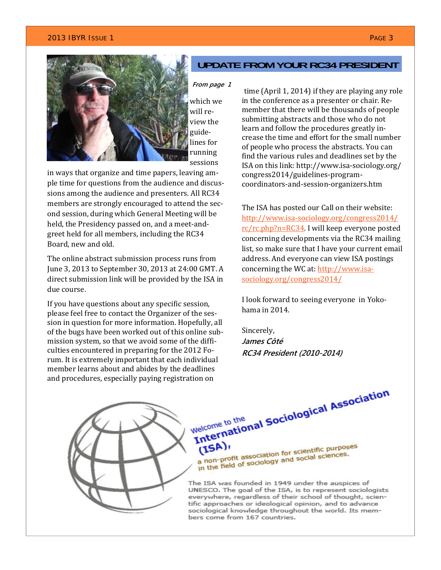### **2013 IBYR I**SSUE 1 PAGE 3 PAGE 3 PAGE 3 PAGE 3 PAGE 3 PAGE 3 PAGE 3 PAGE 3 PAGE 3 PAGE 3



which we will re‐ view the guide‐ lines for running sessions

in ways that organize and time papers, leaving am‐ ple time for questions from the audience and discus‐ sions among the audience and presenters. All RC34 members are strongly encouraged to attend the second session, during which General Meeting will be held, the Presidency passed on, and a meet-andgreet held for all members, including the RC34 Board, new and old.

The online abstract submission process runs from June 3, 2013 to September 30, 2013 at 24:00 GMT. A direct submission link will be provided by the ISA in due course.

If you have questions about any specific session, please feel free to contact the Organizer of the ses‐ sion in question for more information. Hopefully, all of the bugs have been worked out of this online sub‐ mission system, so that we avoid some of the diffi‐ culties encountered in preparing for the 2012 Fo‐ rum. It is extremely important that each individual member learns about and abides by the deadlines

### **UPDATE FROM YOUR RC34 PRESIDENT**

### **From page 1**

time (April 1, 2014) if they are playing any role in the conference as a presenter or chair. Re‐ member that there will be thousands of people submitting abstracts and those who do not learn and follow the procedures greatly in‐ crease the time and effort for the small number of people who process the abstracts. You can find the various rules and deadlines set by the ISA on this link: http://www.isa‐sociology.org/ congress2014/guidelines‐program‐ coordinators‐and‐session‐organizers.htm

The ISA has posted our Call on their website: http://www.isa‐sociology.org/congress2014/ rc/rc.php?n=RC34. I will keep everyone posted concerning developments via the RC34 mailing list, so make sure that I have your current email address. And everyone can view ISA postings concerning the WC at: http://www.isasociology.org/congress2014/

I look forward to seeing everyone in Yoko‐ hama in 2014.

Sincerely, **James Côté RC34 President (2010-2014)**



 $(ISA)$ (ISA) r<br>a non-profit association for scientific purposes<br>a non-profit association for social sciences. a non-profit association for scientific purposed a non-profit association for social sciences.

The ISA was founded in 1949 under the auspices of UNESCO. The goal of the ISA, is to represent sociologists everywhere, regardless of their school of thought, scientific approaches or ideological opinion, and to advance sociological knowledge throughout the world. Its members come from 167 countries.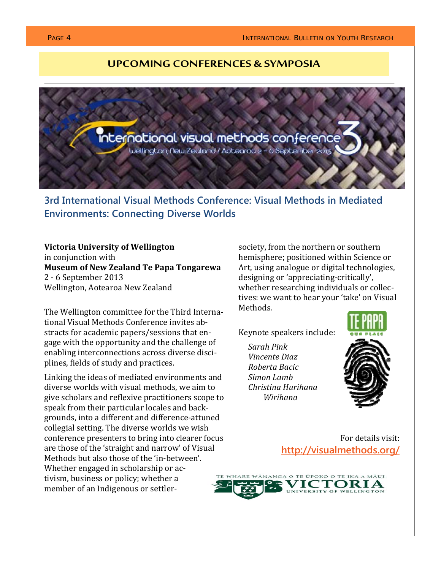### **UPCOMING CONFERENCES & SYMPOSIA**



**3rd International Visual Methods Conference: Visual Methods in Mediated Environments: Connecting Diverse Worlds** 

### **Victoria University of Wellington**

in conjunction with **Museum of New Zealand Te Papa Tongarewa** 2 ‐ 6 September 2013 Wellington, Aotearoa New Zealand

The Wellington committee for the Third Interna‐ tional Visual Methods Conference invites ab‐ stracts for academic papers/sessions that en‐ gage with the opportunity and the challenge of enabling interconnections across diverse disci‐ plines, fields of study and practices.

Linking the ideas of mediated environments and diverse worlds with visual methods, we aim to give scholars and reflexive practitioners scope to speak from their particular locales and back‐ grounds, into a different and difference‐attuned collegial setting. The diverse worlds we wish conference presenters to bring into clearer focus are those of the 'straight and narrow' of Visual Methods but also those of the 'in‐between'. Whether engaged in scholarship or activism, business or policy; whether a member of an Indigenous or settler‐

society, from the northern or southern hemisphere; positioned within Science or Art, using analogue or digital technologies, designing or 'appreciating‐critically', whether researching individuals or collectives: we want to hear your 'take' on Visual Methods.

Keynote speakers include:

*Sarah Pink Vincente Diaz Roberta Bacic Simon Lamb Christina Hurihana Wirihana*



For details visit: **http://visualmethods.org/**

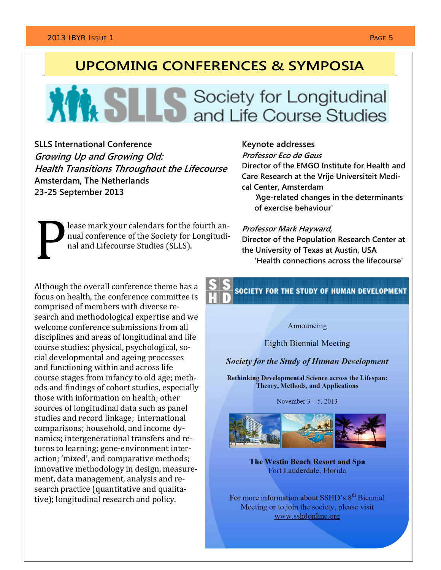# **UPCOMING CONFERENCES & SYMPOSIA**

# **XIM SLLS** Society for Longitudinal

**SLLS International Conference Growing Up and Growing Old: Health Transitions Throughout the Lifecourse Amsterdam, The Netherlands 23-25 September 2013** 

**Keynote addresses** 

**Professor Eco de Geus** 

**Director of the EMGO Institute for Health and Care Research at the Vrije Universiteit Medical Center, Amsterdam** 

**'Age-related changes in the determinants of exercise behaviour'** 

lease mark your calendars for the fourth an‐ nual conference of the Society for Longitudi‐ nal and Lifecourse Studies (SLLS).

**Professor Mark Hayward, Director of the Population Research Center at** 

**the University of Texas at Austin, USA 'Health connections across the lifecourse'** 

Although the overall conference theme has a focus on health, the conference committee is comprised of members with diverse re‐ search and methodological expertise and we welcome conference submissions from all disciplines and areas of longitudinal and life course studies: physical, psychological, so‐ cial developmental and ageing processes and functioning within and across life course stages from infancy to old age; meth‐ ods and findings of cohort studies, especially those with information on health; other sources of longitudinal data such as panel studies and record linkage; international comparisons; household, and income dy‐ namics; intergenerational transfers and re‐ turns to learning; gene‐environment inter‐ action; 'mixed', and comparative methods; innovative methodology in design, measure‐ ment, data management, analysis and re‐ search practice (quantitative and qualitative); longitudinal research and policy.

**SOCIETY FOR THE STUDY OF HUMAN DEVELOPMENT** 

Announcing

**Eighth Biennial Meeting** 

**Society for the Study of Human Development** 

**Rethinking Developmental Science across the Lifespan: Theory, Methods, and Applications** 

November  $3 - 5$ , 2013



**The Westin Beach Resort and Spa** Fort Lauderdale, Florida

For more information about SSHD's 8<sup>th</sup> Biennial Meeting or to join the society, please visit www.sshdonline.org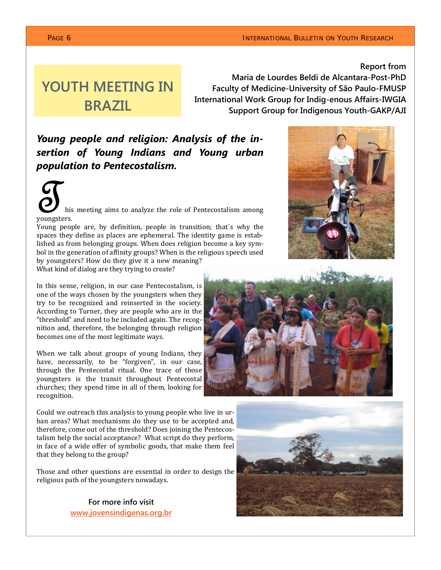### **PAGE 6 INTERNATIONAL BULLETIN ON YOUTH RESEARCH**

**Report from** 

# **YOUTH MEETING IN BRAZIL**

**Maria de Lourdes Beldi de Alcantara-Post-PhD Faculty of Medicine-University of São Paulo-FMUSP International Work Group for Indigenous Affairs-IWGIA Support Group for Indigenous Youth-GAKP/AJI** 

## *Young people and religion: Analysis of the insertion of Young Indians and Young urban population to Pentecostalism.*

his meeting aims to analyze the role of Pentecostalism among youngsters.

Young people are, by definition, people in transition; that´s why the spaces they define as places are ephemeral. The identity game is established as from belonging groups. When does religion become a key sym‐ bol in the generation of affinity groups? When is the religious speech used by youngsters? How do they give it a new meaning?

What kind of dialog are they trying to create?

In this sense, religion, in our case Pentecostalism, is one of the ways chosen by the youngsters when they try to be recognized and reinserted in the society. According to Turner, they are people who are in the "threshold" and need to be included again. The recog‐ nition and, therefore, the belonging through religion becomes one of the most legitimate ways.

When we talk about groups of young Indians, they have, necessarily, to be "forgiven", in our case, through the Pentecostal ritual. One trace of those youngsters is the transit throughout Pentecostal churches; they spend time in all of them, looking for recognition.

Could we outreach this analysis to young people who live in ur‐ ban areas? What mechanisms do they use to be accepted and, therefore, come out of the threshold? Does joining the Pentecos‐ talism help the social acceptance? What script do they perform, in face of a wide offer of symbolic goods, that make them feel that they belong to the group?

Those and other questions are essential in order to design the religious path of the youngsters nowadays.

> **For more info visit www.jovensindigenas.org.br**





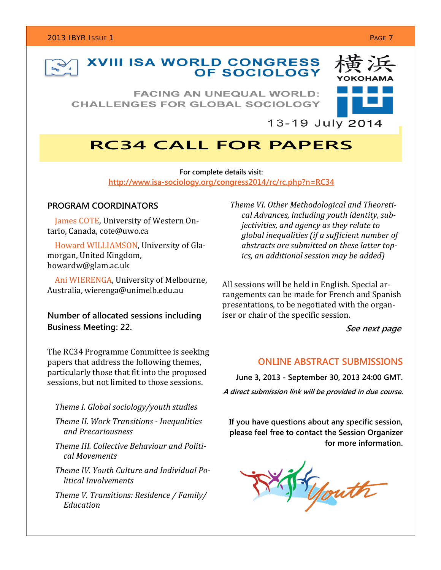

# **XVIII ISA WORLD CONGRESS<br>OF SOCIOLOGY**

**FACING AN UNEQUAL WORLD: CHALLENGES FOR GLOBAL SOCIOLOGY** 



### $13 - 19$  July 2014

# **RC34 CALL FOR PAPERS**

**For complete details visit: http://www.isa-sociology.org/congress2014/rc/rc.php?n=RC34**

### **PROGRAM COORDINATORS**

 James COTE, University of Western On‐ tario, Canada, cote@uwo.ca

 Howard WILLIAMSON, University of Gla‐ morgan, United Kingdom, howardw@glam.ac.uk

 Ani WIERENGA, University of Melbourne, Australia, wierenga@unimelb.edu.au

**Number of allocated sessions including Business Meeting: 22.** 

The RC34 Programme Committee is seeking papers that address the following themes, particularly those that fit into the proposed sessions, but not limited to those sessions.

### *Theme I. Global sociology/youth studies*

 *Theme II. Work Transitions Inequalities and Precariousness*

 *Theme III. Collective Behaviour and Political Movements*

 *Theme IV. Youth Culture and Individual Political Involvements*

 *Theme V. Transitions: Residence / Family/ Education*

 *Theme VI. Other Methodological and Theoretical Advances, including youth identity, subjectivities, and agency as they relate to global inequalities (if a sufficient number of abstracts are submitted on these latter topics, an additional session may be added)*

All sessions will be held in English. Special ar‐ rangements can be made for French and Spanish presentations, to be negotiated with the organ‐ iser or chair of the specific session.

**See next page** 

### **ONLINE ABSTRACT SUBMISSIONS**

**June 3, 2013 - September 30, 2013 24:00 GMT. A direct submission link will be provided in due course.** 

**If you have questions about any specific session, please feel free to contact the Session Organizer for more information.** 

youth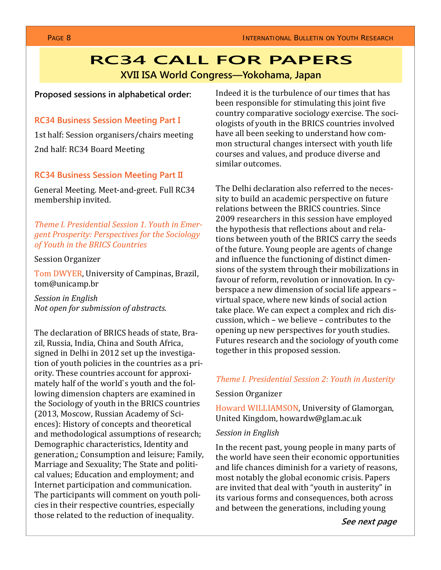# **RC34 CALL FOR PAPERS XVII ISA World Congress—Yokohama, Japan**

### **Proposed sessions in alphabetical order:**

### **RC34 Business Session Meeting Part I**

1st half: Session organisers/chairs meeting 2nd half: RC34 Board Meeting

### **RC34 Business Session Meeting Part II**

General Meeting. Meet‐and‐greet. Full RC34 membership invited.

*Theme I. Presidential Session 1. Youth in Emergent Prosperity: Perspectives for the Sociology of Youth in the BRICS Countries*

### Session Organizer

Tom DWYER, University of Campinas, Brazil, tom@unicamp.br

*Session in English Not open for submission of abstracts.*

The declaration of BRICS heads of state, Bra‐ zil, Russia, India, China and South Africa, signed in Delhi in 2012 set up the investiga‐ tion of youth policies in the countries as a pri‐ ority. These countries account for approxi‐ mately half of the world`s youth and the fol‐ lowing dimension chapters are examined in the Sociology of youth in the BRICS countries (2013, Moscow, Russian Academy of Sci‐ ences): History of concepts and theoretical and methodological assumptions of research; Demographic characteristics, Identity and generation,; Consumption and leisure; Family, Marriage and Sexuality; The State and politi‐ cal values; Education and employment; and Internet participation and communication. The participants will comment on youth poli‐ cies in their respective countries, especially those related to the reduction of inequality.

Indeed it is the turbulence of our times that has been responsible for stimulating this joint five country comparative sociology exercise. The soci‐ ologists of youth in the BRICS countries involved have all been seeking to understand how common structural changes intersect with youth life courses and values, and produce diverse and similar outcomes.

The Delhi declaration also referred to the neces‐ sity to build an academic perspective on future relations between the BRICS countries. Since 2009 researchers in this session have employed the hypothesis that reflections about and rela‐ tions between youth of the BRICS carry the seeds of the future. Young people are agents of change and influence the functioning of distinct dimen‐ sions of the system through their mobilizations in favour of reform, revolution or innovation. In cy‐ berspace a new dimension of social life appears – virtual space, where new kinds of social action take place. We can expect a complex and rich dis‐ cussion, which – we believe – contributes to the opening up new perspectives for youth studies. Futures research and the sociology of youth come together in this proposed session.

### *Theme I. Presidential Session 2: Youth in Austerity*

### Session Organizer

Howard WILLIAMSON, University of Glamorgan, United Kingdom, howardw@glam.ac.uk

### *Session in English*

In the recent past, young people in many parts of the world have seen their economic opportunities and life chances diminish for a variety of reasons, most notably the global economic crisis. Papers are invited that deal with "youth in austerity" in its various forms and consequences, both across and between the generations, including young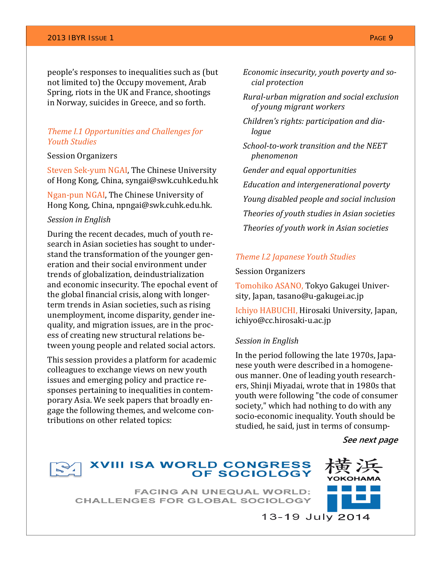### 2013 IBYR ISSUE 1 PAGE 9

people's responses to inequalities such as (but not limited to) the Occupy movement, Arab Spring, riots in the UK and France, shootings in Norway, suicides in Greece, and so forth.

### *Theme I.1 Opportunities and Challenges for Youth Studies*

### Session Organizers

Steven Sek‐yum NGAI, The Chinese University of Hong Kong, China, syngai@swk.cuhk.edu.hk

Ngan‐pun NGAI, The Chinese University of Hong Kong, China, npngai@swk.cuhk.edu.hk.

### *Session in English*

During the recent decades, much of youth re‐ search in Asian societies has sought to under‐ stand the transformation of the younger gen‐ eration and their social environment under trends of globalization, deindustrialization and economic insecurity. The epochal event of the global financial crisis, along with longer‐ term trends in Asian societies, such as rising unemployment, income disparity, gender ine‐ quality, and migration issues, are in the proc‐ ess of creating new structural relations be‐ tween young people and related social actors.

This session provides a platform for academic colleagues to exchange views on new youth issues and emerging policy and practice re‐ sponses pertaining to inequalities in contemporary Asia. We seek papers that broadly en‐ gage the following themes, and welcome con‐ tributions on other related topics:

- *Economic insecurity, youth poverty and social protection*
- *Ruralurban migration and social exclusion of young migrant workers*
- *Children's rights: participation and dialogue*
- *Schooltowork transition and the NEET phenomenon*

 *Gender and equal opportunities*

 *Education and intergenerational poverty Young disabled people and social inclusion Theories of youth studies in Asian societies Theories of youth work in Asian societies* 

### *Theme I.2 Japanese Youth Studies*

### Session Organizers

Tomohiko ASANO, Tokyo Gakugei Univer‐ sity, Japan, tasano@u‐gakugei.ac.jp

Ichiyo HABUCHI, Hirosaki University, Japan, ichiyo@cc.hirosaki‐u.ac.jp

### *Session in English*

In the period following the late 1970s, Japa‐ nese youth were described in a homogene‐ ous manner. One of leading youth research‐ ers, Shinji Miyadai, wrote that in 1980s that youth were following "the code of consumer society," which had nothing to do with any socio‐economic inequality. Youth should be studied, he said, just in terms of consump‐

**See next page** 



# **XVIII ISA WORLD CONGRESS<br>OF SOCIOLOGY**

**FACING AN UNEQUAL WORLD: CHALLENGES FOR GLOBAL SOCIOLOGY** 



13-19 July 2014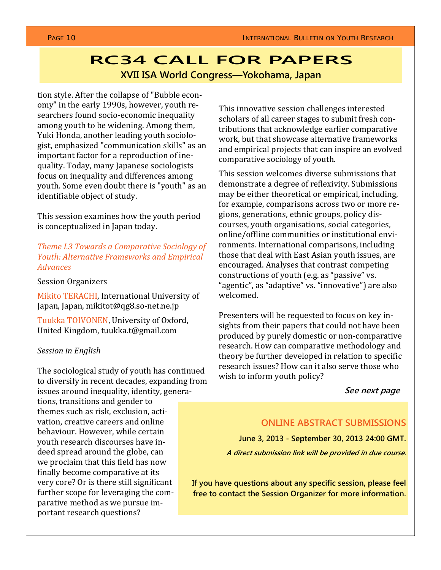# **RC34 CALL FOR PAPERS XVII ISA World Congress—Yokohama, Japan**

tion style. After the collapse of "Bubble econ‐ omy" in the early 1990s, however, youth re‐ searchers found socio-economic inequality among youth to be widening. Among them, Yuki Honda, another leading youth sociolo‐ gist, emphasized "communication skills" as an important factor for a reproduction of ine‐ quality. Today, many Japanese sociologists focus on inequality and differences among youth. Some even doubt there is "youth" as an identifiable object of study.

This session examines how the youth period is conceptualized in Japan today.

*Theme I.3 Towards a Comparative Sociology of Youth: Alternative Frameworks and Empirical Advances*

Session Organizers

Mikito TERACHI, International University of Japan, Japan, mikitot@qg8.so‐net.ne.jp

Tuukka TOIVONEN, University of Oxford, United Kingdom, tuukka.t@gmail.com

### *Session in English*

The sociological study of youth has continued to diversify in recent decades, expanding from issues around inequality, identity, genera‐

tions, transitions and gender to themes such as risk, exclusion, acti‐ vation, creative careers and online behaviour. However, while certain youth research discourses have in‐ deed spread around the globe, can we proclaim that this field has now finally become comparative at its very core? Or is there still significant further scope for leveraging the comparative method as we pursue im‐ portant research questions?

This innovative session challenges interested scholars of all career stages to submit fresh con‐ tributions that acknowledge earlier comparative work, but that showcase alternative frameworks and empirical projects that can inspire an evolved comparative sociology of youth.

This session welcomes diverse submissions that demonstrate a degree of reflexivity. Submissions may be either theoretical or empirical, including, for example, comparisons across two or more re‐ gions, generations, ethnic groups, policy dis‐ courses, youth organisations, social categories, online/offline communities or institutional envi‐ ronments. International comparisons, including those that deal with East Asian youth issues, are encouraged. Analyses that contrast competing constructions of youth (e.g. as "passive" vs. "agentic", as "adaptive" vs. "innovative") are also welcomed.

Presenters will be requested to focus on key in‐ sights from their papers that could not have been produced by purely domestic or non‐comparative research. How can comparative methodology and theory be further developed in relation to specific research issues? How can it also serve those who wish to inform youth policy?

### **See next page**

### **ONLINE ABSTRACT SUBMISSIONS**

**June 3, 2013 - September 30, 2013 24:00 GMT.** 

**A direct submission link will be provided in due course.** 

**If you have questions about any specific session, please feel free to contact the Session Organizer for more information.**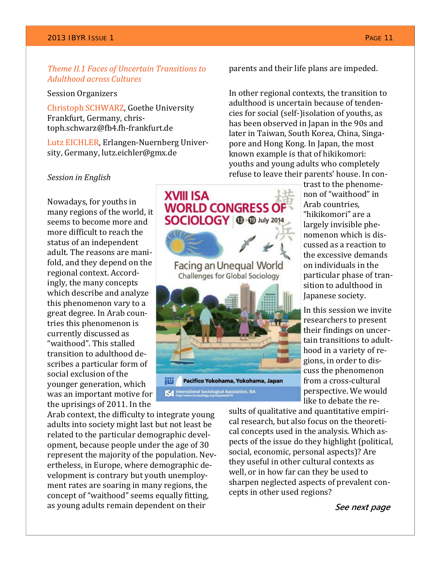### *Theme II.1 Faces of Uncertain Transitions to Adulthood across Cultures*

### Session Organizers

Christoph SCHWARZ, Goethe University Frankfurt, Germany, chris‐ toph.schwarz@fb4.fh‐frankfurt.de

Lutz EICHLER, Erlangen‐Nuernberg Univer‐ sity, Germany, lutz.eichler@gmx.de

### *Session in English*

Nowadays, for youths in many regions of the world, it seems to become more and more difficult to reach the status of an independent adult. The reasons are mani‐ fold, and they depend on the regional context. Accord‐ ingly, the many concepts which describe and analyze this phenomenon vary to a great degree. In Arab coun‐ tries this phenomenon is currently discussed as "waithood". This stalled transition to adulthood de‐ scribes a particular form of social exclusion of the younger generation, which was an important motive for the uprisings of 2011. In the

Arab context, the difficulty to integrate young adults into society might last but not least be related to the particular demographic devel‐ opment, because people under the age of 30 represent the majority of the population. Nev‐ ertheless, in Europe, where demographic de‐ velopment is contrary but youth unemploy‐ ment rates are soaring in many regions, the concept of "waithood" seems equally fitting, as young adults remain dependent on their

parents and their life plans are impeded.

In other regional contexts, the transition to adulthood is uncertain because of tenden‐ cies for social (self‐)isolation of youths, as has been observed in Japan in the 90s and later in Taiwan, South Korea, China, Singa‐ pore and Hong Kong. In Japan, the most known example is that of hikikomori: youths and young adults who completely refuse to leave their parents' house. In con‐



trast to the phenome‐ non of "waithood" in Arab countries, "hikikomori" are a largely invisible phe‐ nomenon which is dis‐ cussed as a reaction to the excessive demands on individuals in the particular phase of tran‐ sition to adulthood in Japanese society.

In this session we invite researchers to present their findings on uncer‐ tain transitions to adult‐ hood in a variety of re‐ gions, in order to dis‐ cuss the phenomenon from a cross‐cultural perspective. We would like to debate the re‐

sults of qualitative and quantitative empiri‐ cal research, but also focus on the theoreti‐ cal concepts used in the analysis. Which as‐ pects of the issue do they highlight (political, social, economic, personal aspects)? Are they useful in other cultural contexts as well, or in how far can they be used to sharpen neglected aspects of prevalent concepts in other used regions?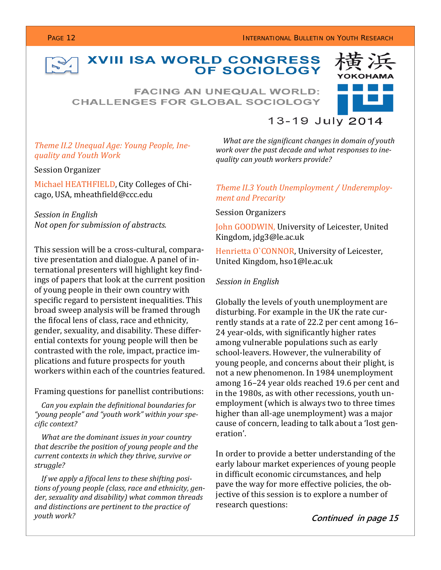### **PAGE 12 INTERNATIONAL BULLETIN ON YOUTH RESEARCH**

### **XVIII ISA WORLD CONGRESS** OF SOCIOLOGY

**FACING AN UNEQUAL WORLD: CHALLENGES FOR GLOBAL SOCIOLOGY** 



### *Theme II.2 Unequal Age: Young People, Inequality and Youth Work*

Session Organizer

Michael HEATHFIELD, City Colleges of Chi‐ cago, USA, mheathfield@ccc.edu

*Session in English Not open for submission of abstracts.*

This session will be a cross‐cultural, compara‐ tive presentation and dialogue. A panel of in‐ ternational presenters will highlight key find‐ ings of papers that look at the current position of young people in their own country with specific regard to persistent inequalities. This broad sweep analysis will be framed through the fifocal lens of class, race and ethnicity, gender, sexuality, and disability. These differ‐ ential contexts for young people will then be contrasted with the role, impact, practice im‐ plications and future prospects for youth workers within each of the countries featured.

### Framing questions for panellist contributions:

 *Can you explain the definitional boundaries for "young people" and "youth work" within your specific context?*

 *What are the dominant issues in your country that describe the position of young people and the current contexts in which they thrive, survive or struggle?*

 *If we apply a fifocal lens to these shifting positions of young people (class, race and ethnicity, gender, sexuality and disability) what common threads and distinctions are pertinent to the practice of youth work?*

# *What are the significant changes in domain of youth*

*work over the past decade and what responses to inequality can youth workers provide?*

### *Theme II.3 Youth Unemployment / Underemployment and Precarity*

Session Organizers

John GOODWIN, University of Leicester, United Kingdom, jdg3@le.ac.uk

Henrietta O`CONNOR, University of Leicester, United Kingdom, hso1@le.ac.uk

### *Session in English*

Globally the levels of youth unemployment are disturbing. For example in the UK the rate cur‐ rently stands at a rate of 22.2 per cent among 16– 24 year‐olds, with significantly higher rates among vulnerable populations such as early school-leavers. However, the vulnerability of young people, and concerns about their plight, is not a new phenomenon. In 1984 unemployment among 16–24 year olds reached 19.6 per cent and in the 1980s, as with other recessions, youth un‐ employment (which is always two to three times higher than all-age unemployment) was a major cause of concern, leading to talk about a 'lost gen‐ eration'.

In order to provide a better understanding of the early labour market experiences of young people in difficult economic circumstances, and help pave the way for more effective policies, the ob‐ jective of this session is to explore a number of research questions:

**Continued in page 15**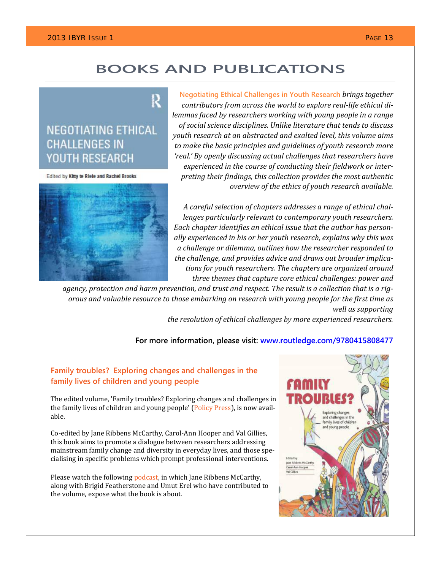# **BOOKS AND PUBLICATIONS**

## **NEGOTIATING ETHICAL CHALLENGES IN YOUTH RESEARCH**

Edited by Kltty te Riele and Rachel Brooks

**Negotiating Ethical Challenges in Youth Research** *brings together contributors from across the world to explore reallife ethical dilemmas faced by researchers working with young people in a range of social science disciplines. Unlike literature that tends to discuss youth research at an abstracted and exalted level, this volume aims to make the basic principles and guidelines of youth research more 'real.' By openly discussing actual challenges that researchers have experienced in the course of conducting their fieldwork or interpreting their findings, this collection provides the most authentic overview of the ethics of youth research available.*

*A careful selection of chapters addresses a range of ethical challenges particularly relevant to contemporary youth researchers. Each chapter identifies an ethical issue that the author has personally experienced in his or her youth research, explains why this was a challenge or dilemma, outlines how the researcher responded to the challenge, and provides advice and draws out broader implications for youth researchers. The chapters are organized around three themes that capture core ethical challenges: power and*

agency, protection and harm prevention, and trust and respect. The result is a collection that is a rig*orous and valuable resource to those embarking on research with young people for the first time as well as supporting*

*the resolution of ethical challenges by more experienced researchers.*

### **For more information, please visit: www.routledge.com/9780415808477**

### **Family troubles? Exploring changes and challenges in the family lives of children and young people**

R

The edited volume, 'Family troubles? Exploring changes and challenges in the family lives of children and young people' (Policy Press), is now available.

Co‐edited by Jane Ribbens McCarthy, Carol‐Ann Hooper and Val Gillies, this book aims to promote a dialogue between researchers addressing mainstream family change and diversity in everyday lives, and those spe‐ cialising in specific problems which prompt professional interventions.

Please watch the following **podcast**, in which Jane Ribbens McCarthy, along with Brigid Featherstone and Umut Erel who have contributed to the volume, expose what the book is about.



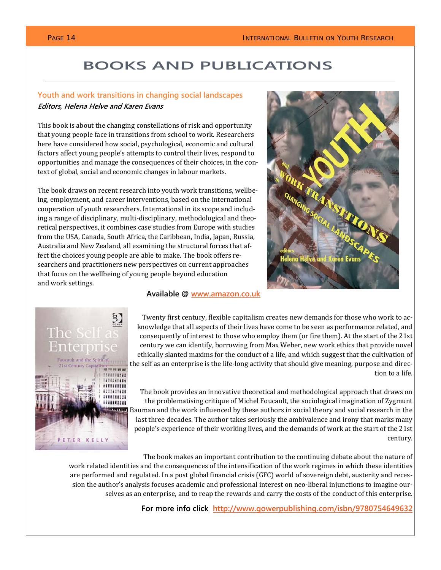# **BOOKS AND PUBLICATIONS**

### **Youth and work transitions in changing social landscapes Editors, Helena Helve and Karen Evans**

This book is about the changing constellations of risk and opportunity that young people face in transitions from school to work. Researchers here have considered how social, psychological, economic and cultural factors affect young people's attempts to control their lives, respond to opportunities and manage the consequences of their choices, in the context of global, social and economic changes in labour markets.

The book draws on recent research into youth work transitions, wellbe‐ ing, employment, and career interventions, based on the international cooperation of youth researchers. International in its scope and includ‐ ing a range of disciplinary, multi‐disciplinary, methodological and theo‐ retical perspectives, it combines case studies from Europe with studies from the USA, Canada, South Africa, the Caribbean, India, Japan, Russia, Australia and New Zealand, all examining the structural forces that af‐ fect the choices young people are able to make. The book offers researchers and practitioners new perspectives on current approaches that focus on the wellbeing of young people beyond education and work settings.



### **Available @ www.amazon.co.uk**



The book provides an innovative theoretical and methodological approach that draws on the problematising critique of Michel Foucault, the sociological imagination of Zygmunt Bauman and the work influenced by these authors in social theory and social research in the last three decades. The author takes seriously the ambivalence and irony that marks many people's experience of their working lives, and the demands of work at the start of the 21st century.

The book makes an important contribution to the continuing debate about the nature of

work related identities and the consequences of the intensification of the work regimes in which these identities are performed and regulated. In a post global financial crisis (GFC) world of sovereign debt, austerity and recession the author's analysis focuses academic and professional interest on neo-liberal injunctions to imagine ourselves as an enterprise, and to reap the rewards and carry the costs of the conduct of this enterprise.

**For more info click http://www.gowerpublishing.com/isbn/9780754649632**

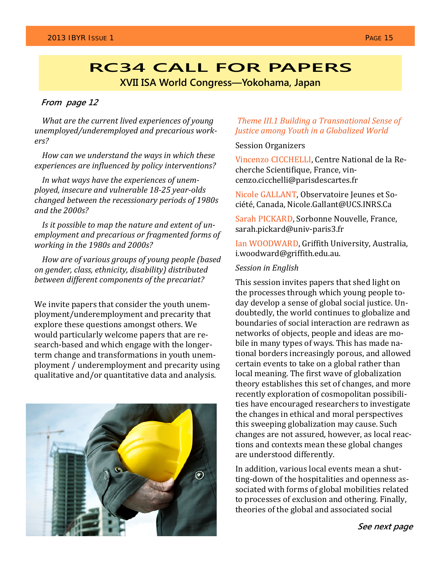# **RC34 CALL FOR PAPERS**

**XVII ISA World Congress—Yokohama, Japan** 

### **From page 12**

 *What are the current lived experiences of young unemployed/underemployed and precarious workers?*

 *How can we understand the ways in which these experiences are influenced by policy interventions?*

 *In what ways have the experiences of unemployed, insecure and vulnerable 1825 yearolds changed between the recessionary periods of 1980s and the 2000s?*

 *Is it possible to map the nature and extent of unemployment and precarious or fragmented forms of working in the 1980s and 2000s?*

 *How are of various groups of young people (based on gender, class, ethnicity, disability) distributed between different components of the precariat?* 

We invite papers that consider the youth unemployment/underemployment and precarity that explore these questions amongst others. We would particularly welcome papers that are re‐ search-based and which engage with the longerterm change and transformations in youth unem‐ ployment / underemployment and precarity using qualitative and/or quantitative data and analysis.



### *Theme III.1 Building a Transnational Sense of Justice among Youth in a Globalized World*

### Session Organizers

Vincenzo CICCHELLI, Centre National de la Re‐ cherche Scientifique, France, vin‐ cenzo.cicchelli@parisdescartes.fr

Nicole GALLANT, Observatoire Jeunes et So‐ ciété, Canada, Nicole.Gallant@UCS.INRS.Ca

Sarah PICKARD, Sorbonne Nouvelle, France, sarah.pickard@univ‐paris3.fr

Ian WOODWARD, Griffith University, Australia, i.woodward@griffith.edu.au.

### *Session in English*

This session invites papers that shed light on the processes through which young people to‐ day develop a sense of global social justice. Un‐ doubtedly, the world continues to globalize and boundaries of social interaction are redrawn as networks of objects, people and ideas are mo‐ bile in many types of ways. This has made na‐ tional borders increasingly porous, and allowed certain events to take on a global rather than local meaning. The first wave of globalization theory establishes this set of changes, and more recently exploration of cosmopolitan possibili‐ ties have encouraged researchers to investigate the changes in ethical and moral perspectives this sweeping globalization may cause. Such changes are not assured, however, as local reac‐ tions and contexts mean these global changes are understood differently.

In addition, various local events mean a shut‐ ting-down of the hospitalities and openness associated with forms of global mobilities related to processes of exclusion and othering. Finally, theories of the global and associated social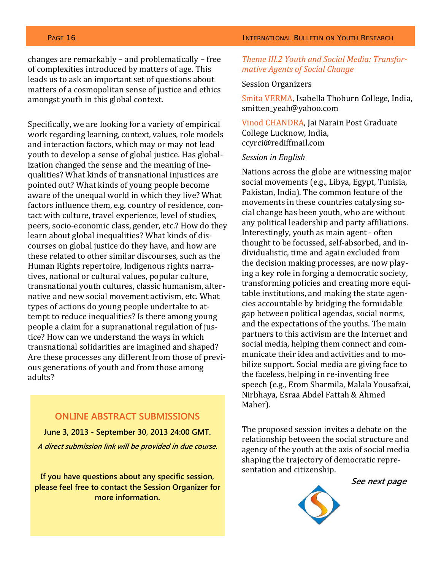changes are remarkably – and problematically – free of complexities introduced by matters of age. This leads us to ask an important set of questions about matters of a cosmopolitan sense of justice and ethics amongst youth in this global context.

Specifically, we are looking for a variety of empirical work regarding learning, context, values, role models and interaction factors, which may or may not lead youth to develop a sense of global justice. Has global‐ ization changed the sense and the meaning of ine‐ qualities? What kinds of transnational injustices are pointed out? What kinds of young people become aware of the unequal world in which they live? What factors influence them, e.g. country of residence, con‐ tact with culture, travel experience, level of studies, peers, socio‐economic class, gender, etc.? How do they learn about global inequalities? What kinds of dis‐ courses on global justice do they have, and how are these related to other similar discourses, such as the Human Rights repertoire, Indigenous rights narra‐ tives, national or cultural values, popular culture, transnational youth cultures, classic humanism, alter‐ native and new social movement activism, etc. What types of actions do young people undertake to at‐ tempt to reduce inequalities? Is there among young people a claim for a supranational regulation of justice? How can we understand the ways in which transnational solidarities are imagined and shaped? Are these processes any different from those of previ‐ ous generations of youth and from those among adults?

### **ONLINE ABSTRACT SUBMISSIONS**

**June 3, 2013 - September 30, 2013 24:00 GMT. A direct submission link will be provided in due course.** 

**If you have questions about any specific session, please feel free to contact the Session Organizer for more information.** 

### **PAGE 16 INTERNATIONAL BULLETIN ON YOUTH RESEARCH**

### *Theme III.2 Youth and Social Media: Transformative Agents of Social Change*

### Session Organizers

Smita VERMA, Isabella Thoburn College, India, smitten yeah@yahoo.com

Vinod CHANDRA, Jai Narain Post Graduate College Lucknow, India, ccyrci@rediffmail.com

### *Session in English*

Nations across the globe are witnessing major social movements (e.g., Libya, Egypt, Tunisia, Pakistan, India). The common feature of the movements in these countries catalysing social change has been youth, who are without any political leadership and party affiliations. Interestingly, youth as main agent ‐ often thought to be focussed, self‐absorbed, and in‐ dividualistic, time and again excluded from the decision making processes, are now play‐ ing a key role in forging a democratic society, transforming policies and creating more equi‐ table institutions, and making the state agen‐ cies accountable by bridging the formidable gap between political agendas, social norms, and the expectations of the youths. The main partners to this activism are the Internet and social media, helping them connect and communicate their idea and activities and to mo‐ bilize support. Social media are giving face to the faceless, helping in re‐inventing free speech (e.g., Erom Sharmila, Malala Yousafzai, Nirbhaya, Esraa Abdel Fattah & Ahmed Maher).

The proposed session invites a debate on the relationship between the social structure and agency of the youth at the axis of social media shaping the trajectory of democratic repre‐ sentation and citizenship.

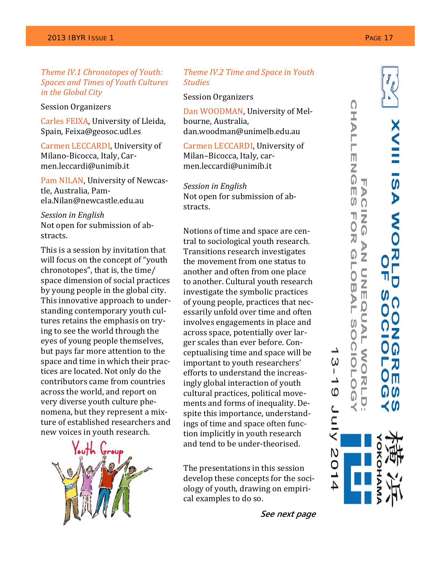*Theme IV.1 Chronotopes of Youth: Spaces and Times of Youth Cultures in the Global City*

Session Organizers

Carles FEIXA, University of Lleida, Spain, Feixa@geosoc.udl.es

Carmen LECCARDI, University of Milano‐Bicocca, Italy, Car‐ men.leccardi@unimib.it

Pam NILAN, University of Newcas‐ tle, Australia, Pam‐ ela.Nilan@newcastle.edu.au

*Session in English* Not open for submission of ab‐ stracts.

This is a session by invitation that will focus on the concept of "youth chronotopes", that is, the time/ space dimension of social practices by young people in the global city. This innovative approach to under‐ standing contemporary youth cul‐ tures retains the emphasis on try‐ ing to see the world through the eyes of young people themselves, but pays far more attention to the space and time in which their prac‐ tices are located. Not only do the contributors came from countries across the world, and report on very diverse youth culture phe‐ nomena, but they represent a mix‐ ture of established researchers and new voices in youth research.



### *Theme IV.2 Time and Space in Youth Studies*

Session Organizers

Dan WOODMAN, University of Mel‐ bourne, Australia, dan.woodman@unimelb.edu.au

Carmen LECCARDI, University of Milan–Bicocca, Italy, car‐ men.leccardi@unimib.it

*Session in English* Not open for submission of ab‐ stracts.

Notions of time and space are cen‐ tral to sociological youth research. Transitions research investigates the movement from one status to another and often from one place to another. Cultural youth research investigate the symbolic practices of young people, practices that nec‐ essarily unfold over time and often involves engagements in place and across space, potentially over lar‐ ger scales than ever before. Con‐ ceptualising time and space will be important to youth researchers' efforts to understand the increas‐ ingly global interaction of youth cultural practices, political move‐ ments and forms of inequality. De‐ spite this importance, understand‐ ings of time and space often func‐ tion implicitly in youth research and tend to be under‐theorised.

The presentations in this session develop these concepts for the soci‐ ology of youth, drawing on empiri‐ cal examples to do so.

**See next page** 



ഗ

KINC

 $\mathsf N$ 0 ᆚ 4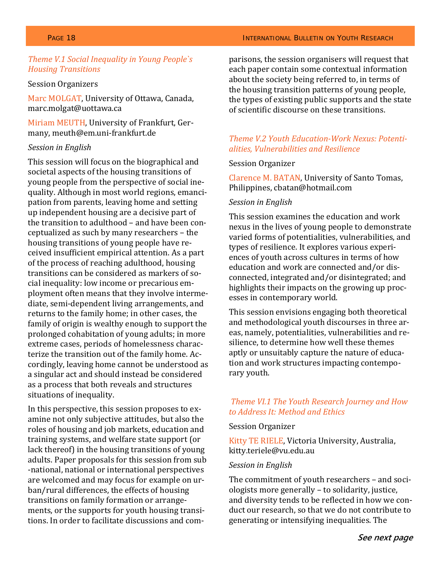### *Theme V.1 Social Inequality in Young People`s Housing Transitions*

### Session Organizers

Marc MOLGAT, University of Ottawa, Canada, marc.molgat@uottawa.ca

Miriam MEUTH, University of Frankfurt, Ger‐ many, meuth@em.uni‐frankfurt.de

### *Session in English*

This session will focus on the biographical and societal aspects of the housing transitions of young people from the perspective of social ine‐ quality. Although in most world regions, emanci‐ pation from parents, leaving home and setting up independent housing are a decisive part of the transition to adulthood – and have been con‐ ceptualized as such by many researchers – the housing transitions of young people have re‐ ceived insufficient empirical attention. As a part of the process of reaching adulthood, housing transitions can be considered as markers of so‐ cial inequality: low income or precarious em‐ ployment often means that they involve interme‐ diate, semi‐dependent living arrangements, and returns to the family home; in other cases, the family of origin is wealthy enough to support the prolonged cohabitation of young adults; in more extreme cases, periods of homelessness charac‐ terize the transition out of the family home. Ac‐ cordingly, leaving home cannot be understood as a singular act and should instead be considered as a process that both reveals and structures situations of inequality.

In this perspective, this session proposes to examine not only subjective attitudes, but also the roles of housing and job markets, education and training systems, and welfare state support (or lack thereof) in the housing transitions of young adults. Paper proposals for this session from sub ‐national, national or international perspectives are welcomed and may focus for example on ur‐ ban/rural differences, the effects of housing transitions on family formation or arrange‐ ments, or the supports for youth housing transi‐ tions. In order to facilitate discussions and com‐

parisons, the session organisers will request that each paper contain some contextual information about the society being referred to, in terms of the housing transition patterns of young people, the types of existing public supports and the state of scientific discourse on these transitions.

### *Theme V.2 Youth EducationWork Nexus: Potentialities, Vulnerabilities and Resilience*

### Session Organizer

Clarence M. BATAN, University of Santo Tomas, Philippines, cbatan@hotmail.com

### *Session in English*

This session examines the education and work nexus in the lives of young people to demonstrate varied forms of potentialities, vulnerabilities, and types of resilience. It explores various experi‐ ences of youth across cultures in terms of how education and work are connected and/or dis‐ connected, integrated and/or disintegrated; and highlights their impacts on the growing up proc‐ esses in contemporary world.

This session envisions engaging both theoretical and methodological youth discourses in three ar‐ eas, namely, potentialities, vulnerabilities and re‐ silience, to determine how well these themes aptly or unsuitably capture the nature of educa‐ tion and work structures impacting contempo‐ rary youth.

### *Theme VI.1 The Youth Research Journey and How to Address It: Method and Ethics*

### Session Organizer

Kitty TE RIELE, Victoria University, Australia, kitty.teriele@vu.edu.au

### *Session in English*

The commitment of youth researchers - and sociologists more generally – to solidarity, justice, and diversity tends to be reflected in how we con‐ duct our research, so that we do not contribute to generating or intensifying inequalities. The